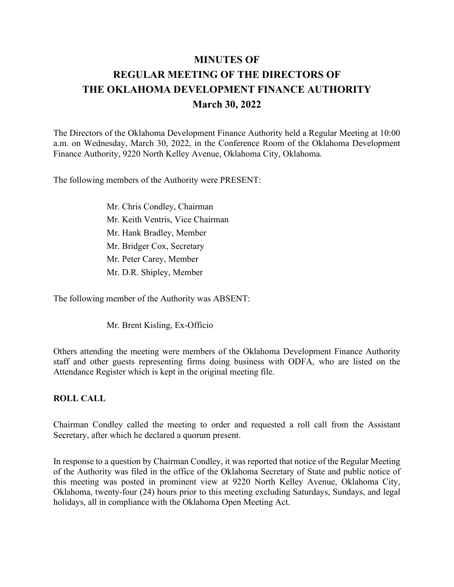# **MINUTES OF REGULAR MEETING OF THE DIRECTORS OF THE OKLAHOMA DEVELOPMENT FINANCE AUTHORITY March 30, 2022**

The Directors of the Oklahoma Development Finance Authority held a Regular Meeting at 10:00 a.m. on Wednesday, March 30, 2022, in the Conference Room of the Oklahoma Development Finance Authority, 9220 North Kelley Avenue, Oklahoma City, Oklahoma.

The following members of the Authority were PRESENT:

Mr. Chris Condley, Chairman Mr. Keith Ventris, Vice Chairman Mr. Hank Bradley, Member Mr. Bridger Cox, Secretary Mr. Peter Carey, Member Mr. D.R. Shipley, Member

The following member of the Authority was ABSENT:

Mr. Brent Kisling, Ex-Officio

Others attending the meeting were members of the Oklahoma Development Finance Authority staff and other guests representing firms doing business with ODFA, who are listed on the Attendance Register which is kept in the original meeting file.

#### **ROLL CALL**

Chairman Condley called the meeting to order and requested a roll call from the Assistant Secretary, after which he declared a quorum present.

In response to a question by Chairman Condley, it was reported that notice of the Regular Meeting of the Authority was filed in the office of the Oklahoma Secretary of State and public notice of this meeting was posted in prominent view at 9220 North Kelley Avenue, Oklahoma City, Oklahoma, twenty-four (24) hours prior to this meeting excluding Saturdays, Sundays, and legal holidays, all in compliance with the Oklahoma Open Meeting Act.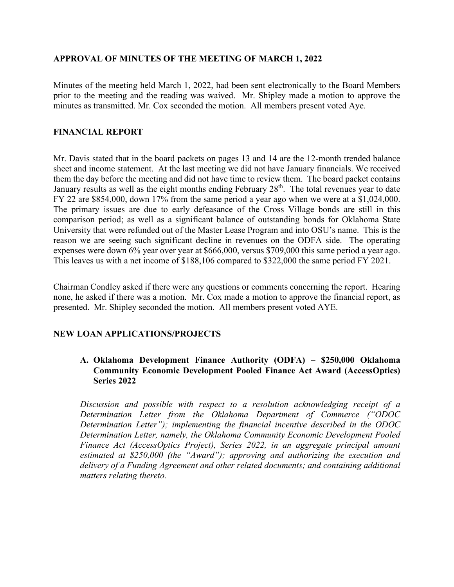#### **APPROVAL OF MINUTES OF THE MEETING OF MARCH 1, 2022**

Minutes of the meeting held March 1, 2022, had been sent electronically to the Board Members prior to the meeting and the reading was waived. Mr. Shipley made a motion to approve the minutes as transmitted. Mr. Cox seconded the motion. All members present voted Aye.

#### **FINANCIAL REPORT**

Mr. Davis stated that in the board packets on pages 13 and 14 are the 12-month trended balance sheet and income statement. At the last meeting we did not have January financials. We received them the day before the meeting and did not have time to review them. The board packet contains January results as well as the eight months ending February 28<sup>th</sup>. The total revenues year to date FY 22 are \$854,000, down 17% from the same period a year ago when we were at a \$1,024,000. The primary issues are due to early defeasance of the Cross Village bonds are still in this comparison period; as well as a significant balance of outstanding bonds for Oklahoma State University that were refunded out of the Master Lease Program and into OSU's name. This is the reason we are seeing such significant decline in revenues on the ODFA side. The operating expenses were down 6% year over year at \$666,000, versus \$709,000 this same period a year ago. This leaves us with a net income of \$188,106 compared to \$322,000 the same period FY 2021.

Chairman Condley asked if there were any questions or comments concerning the report. Hearing none, he asked if there was a motion. Mr. Cox made a motion to approve the financial report, as presented. Mr. Shipley seconded the motion. All members present voted AYE.

# **NEW LOAN APPLICATIONS/PROJECTS**

# **A. Oklahoma Development Finance Authority (ODFA) – \$250,000 Oklahoma Community Economic Development Pooled Finance Act Award (AccessOptics) Series 2022**

*Discussion and possible with respect to a resolution acknowledging receipt of a Determination Letter from the Oklahoma Department of Commerce ("ODOC Determination Letter"); implementing the financial incentive described in the ODOC Determination Letter, namely, the Oklahoma Community Economic Development Pooled Finance Act (AccessOptics Project), Series 2022, in an aggregate principal amount estimated at \$250,000 (the "Award"); approving and authorizing the execution and delivery of a Funding Agreement and other related documents; and containing additional matters relating thereto.*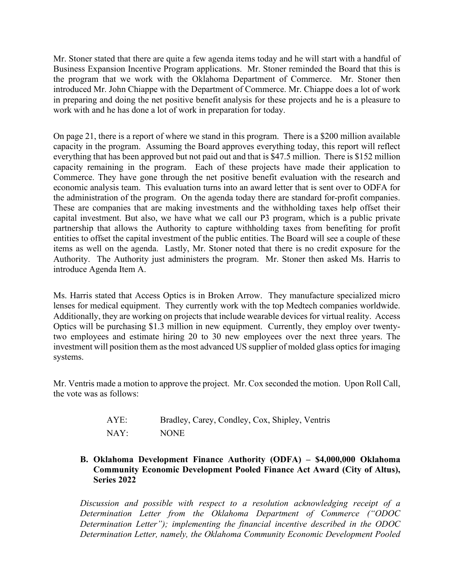Mr. Stoner stated that there are quite a few agenda items today and he will start with a handful of Business Expansion Incentive Program applications. Mr. Stoner reminded the Board that this is the program that we work with the Oklahoma Department of Commerce. Mr. Stoner then introduced Mr. John Chiappe with the Department of Commerce. Mr. Chiappe does a lot of work in preparing and doing the net positive benefit analysis for these projects and he is a pleasure to work with and he has done a lot of work in preparation for today.

On page 21, there is a report of where we stand in this program. There is a \$200 million available capacity in the program. Assuming the Board approves everything today, this report will reflect everything that has been approved but not paid out and that is \$47.5 million. There is \$152 million capacity remaining in the program. Each of these projects have made their application to Commerce. They have gone through the net positive benefit evaluation with the research and economic analysis team. This evaluation turns into an award letter that is sent over to ODFA for the administration of the program. On the agenda today there are standard for-profit companies. These are companies that are making investments and the withholding taxes help offset their capital investment. But also, we have what we call our P3 program, which is a public private partnership that allows the Authority to capture withholding taxes from benefiting for profit entities to offset the capital investment of the public entities. The Board will see a couple of these items as well on the agenda. Lastly, Mr. Stoner noted that there is no credit exposure for the Authority. The Authority just administers the program. Mr. Stoner then asked Ms. Harris to introduce Agenda Item A.

Ms. Harris stated that Access Optics is in Broken Arrow. They manufacture specialized micro lenses for medical equipment. They currently work with the top Medtech companies worldwide. Additionally, they are working on projects that include wearable devices for virtual reality. Access Optics will be purchasing \$1.3 million in new equipment. Currently, they employ over twentytwo employees and estimate hiring 20 to 30 new employees over the next three years. The investment will position them as the most advanced US supplier of molded glass optics for imaging systems.

Mr. Ventris made a motion to approve the project. Mr. Cox seconded the motion. Upon Roll Call, the vote was as follows:

| AYE: | Bradley, Carey, Condley, Cox, Shipley, Ventris |
|------|------------------------------------------------|
| NAY: | <b>NONE</b>                                    |

# **B. Oklahoma Development Finance Authority (ODFA) – \$4,000,000 Oklahoma Community Economic Development Pooled Finance Act Award (City of Altus), Series 2022**

*Discussion and possible with respect to a resolution acknowledging receipt of a Determination Letter from the Oklahoma Department of Commerce ("ODOC Determination Letter"); implementing the financial incentive described in the ODOC Determination Letter, namely, the Oklahoma Community Economic Development Pooled*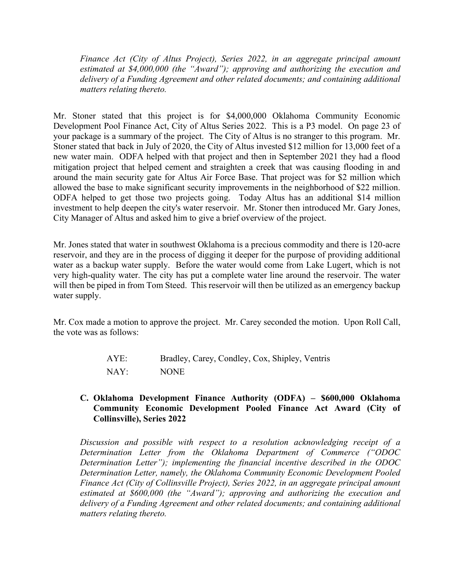*Finance Act (City of Altus Project), Series 2022, in an aggregate principal amount estimated at \$4,000,000 (the "Award"); approving and authorizing the execution and delivery of a Funding Agreement and other related documents; and containing additional matters relating thereto.*

Mr. Stoner stated that this project is for \$4,000,000 Oklahoma Community Economic Development Pool Finance Act, City of Altus Series 2022. This is a P3 model. On page 23 of your package is a summary of the project. The City of Altus is no stranger to this program. Mr. Stoner stated that back in July of 2020, the City of Altus invested \$12 million for 13,000 feet of a new water main. ODFA helped with that project and then in September 2021 they had a flood mitigation project that helped cement and straighten a creek that was causing flooding in and around the main security gate for Altus Air Force Base. That project was for \$2 million which allowed the base to make significant security improvements in the neighborhood of \$22 million. ODFA helped to get those two projects going. Today Altus has an additional \$14 million investment to help deepen the city's water reservoir. Mr. Stoner then introduced Mr. Gary Jones, City Manager of Altus and asked him to give a brief overview of the project.

Mr. Jones stated that water in southwest Oklahoma is a precious commodity and there is 120-acre reservoir, and they are in the process of digging it deeper for the purpose of providing additional water as a backup water supply. Before the water would come from Lake Lugert, which is not very high-quality water. The city has put a complete water line around the reservoir. The water will then be piped in from Tom Steed. This reservoir will then be utilized as an emergency backup water supply.

Mr. Cox made a motion to approve the project. Mr. Carey seconded the motion. Upon Roll Call, the vote was as follows:

| AYE:                      | Bradley, Carey, Condley, Cox, Shipley, Ventris |
|---------------------------|------------------------------------------------|
| $\overline{\text{NAY}}$ : | <b>NONE</b>                                    |

# **C. Oklahoma Development Finance Authority (ODFA) – \$600,000 Oklahoma Community Economic Development Pooled Finance Act Award (City of Collinsville), Series 2022**

*Discussion and possible with respect to a resolution acknowledging receipt of a Determination Letter from the Oklahoma Department of Commerce ("ODOC Determination Letter"); implementing the financial incentive described in the ODOC Determination Letter, namely, the Oklahoma Community Economic Development Pooled Finance Act (City of Collinsville Project), Series 2022, in an aggregate principal amount estimated at \$600,000 (the "Award"); approving and authorizing the execution and delivery of a Funding Agreement and other related documents; and containing additional matters relating thereto.*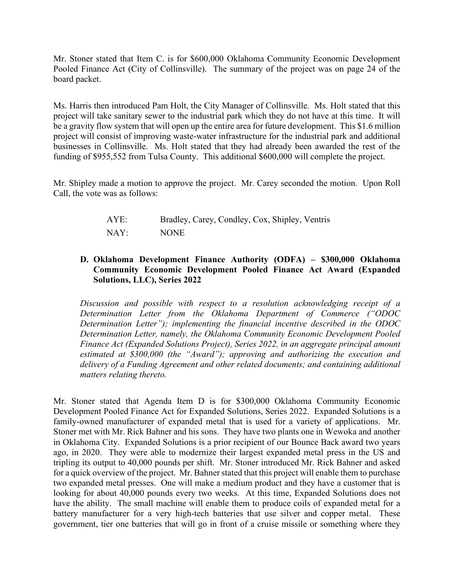Mr. Stoner stated that Item C. is for \$600,000 Oklahoma Community Economic Development Pooled Finance Act (City of Collinsville). The summary of the project was on page 24 of the board packet.

Ms. Harris then introduced Pam Holt, the City Manager of Collinsville. Ms. Holt stated that this project will take sanitary sewer to the industrial park which they do not have at this time. It will be a gravity flow system that will open up the entire area for future development. This \$1.6 million project will consist of improving waste-water infrastructure for the industrial park and additional businesses in Collinsville. Ms. Holt stated that they had already been awarded the rest of the funding of \$955,552 from Tulsa County. This additional \$600,000 will complete the project.

Mr. Shipley made a motion to approve the project. Mr. Carey seconded the motion. Upon Roll Call, the vote was as follows:

| AYE: | Bradley, Carey, Condley, Cox, Shipley, Ventris |
|------|------------------------------------------------|
| NAY: | <b>NONE</b>                                    |

# **D. Oklahoma Development Finance Authority (ODFA) – \$300,000 Oklahoma Community Economic Development Pooled Finance Act Award (Expanded Solutions, LLC), Series 2022**

*Discussion and possible with respect to a resolution acknowledging receipt of a Determination Letter from the Oklahoma Department of Commerce ("ODOC Determination Letter"); implementing the financial incentive described in the ODOC Determination Letter, namely, the Oklahoma Community Economic Development Pooled Finance Act (Expanded Solutions Project), Series 2022, in an aggregate principal amount estimated at \$300,000 (the "Award"); approving and authorizing the execution and delivery of a Funding Agreement and other related documents; and containing additional matters relating thereto.*

Mr. Stoner stated that Agenda Item D is for \$300,000 Oklahoma Community Economic Development Pooled Finance Act for Expanded Solutions, Series 2022. Expanded Solutions is a family-owned manufacturer of expanded metal that is used for a variety of applications. Mr. Stoner met with Mr. Rick Bahner and his sons. They have two plants one in Wewoka and another in Oklahoma City. Expanded Solutions is a prior recipient of our Bounce Back award two years ago, in 2020. They were able to modernize their largest expanded metal press in the US and tripling its output to 40,000 pounds per shift. Mr. Stoner introduced Mr. Rick Bahner and asked for a quick overview of the project. Mr. Bahner stated that this project will enable them to purchase two expanded metal presses. One will make a medium product and they have a customer that is looking for about 40,000 pounds every two weeks. At this time, Expanded Solutions does not have the ability. The small machine will enable them to produce coils of expanded metal for a battery manufacturer for a very high-tech batteries that use silver and copper metal. These government, tier one batteries that will go in front of a cruise missile or something where they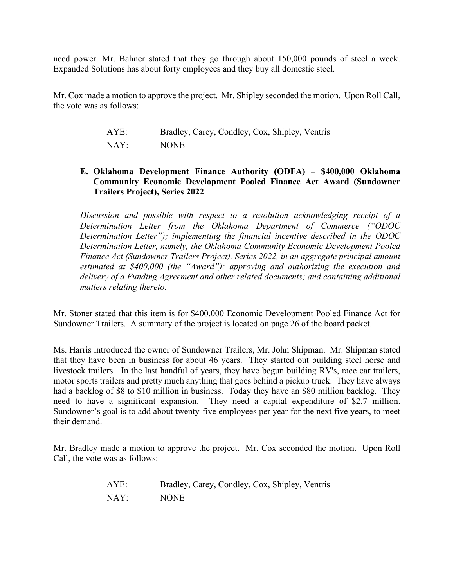need power. Mr. Bahner stated that they go through about 150,000 pounds of steel a week. Expanded Solutions has about forty employees and they buy all domestic steel.

Mr. Cox made a motion to approve the project. Mr. Shipley seconded the motion. Upon Roll Call, the vote was as follows:

| AYE: | Bradley, Carey, Condley, Cox, Shipley, Ventris |
|------|------------------------------------------------|
| NAY: | <b>NONE</b>                                    |

# **E. Oklahoma Development Finance Authority (ODFA) – \$400,000 Oklahoma Community Economic Development Pooled Finance Act Award (Sundowner Trailers Project), Series 2022**

*Discussion and possible with respect to a resolution acknowledging receipt of a Determination Letter from the Oklahoma Department of Commerce ("ODOC Determination Letter"); implementing the financial incentive described in the ODOC Determination Letter, namely, the Oklahoma Community Economic Development Pooled Finance Act (Sundowner Trailers Project), Series 2022, in an aggregate principal amount estimated at \$400,000 (the "Award"); approving and authorizing the execution and delivery of a Funding Agreement and other related documents; and containing additional matters relating thereto.*

Mr. Stoner stated that this item is for \$400,000 Economic Development Pooled Finance Act for Sundowner Trailers. A summary of the project is located on page 26 of the board packet.

Ms. Harris introduced the owner of Sundowner Trailers, Mr. John Shipman. Mr. Shipman stated that they have been in business for about 46 years. They started out building steel horse and livestock trailers. In the last handful of years, they have begun building RV's, race car trailers, motor sports trailers and pretty much anything that goes behind a pickup truck. They have always had a backlog of \$8 to \$10 million in business. Today they have an \$80 million backlog. They need to have a significant expansion. They need a capital expenditure of \$2.7 million. Sundowner's goal is to add about twenty-five employees per year for the next five years, to meet their demand.

Mr. Bradley made a motion to approve the project. Mr. Cox seconded the motion. Upon Roll Call, the vote was as follows:

| AYE: | Bradley, Carey, Condley, Cox, Shipley, Ventris |
|------|------------------------------------------------|
| NAY: | <b>NONE</b>                                    |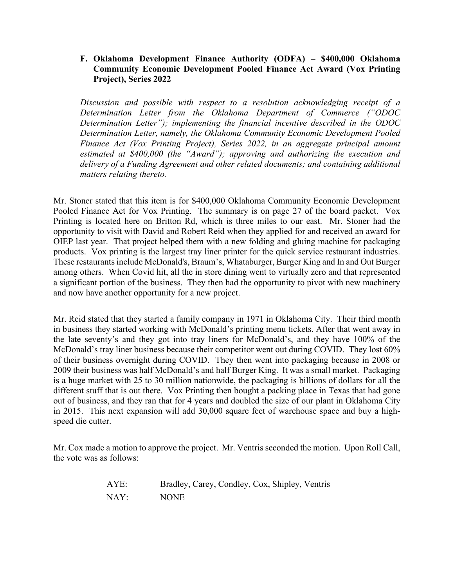#### **F. Oklahoma Development Finance Authority (ODFA) – \$400,000 Oklahoma Community Economic Development Pooled Finance Act Award (Vox Printing Project), Series 2022**

*Discussion and possible with respect to a resolution acknowledging receipt of a Determination Letter from the Oklahoma Department of Commerce ("ODOC Determination Letter"); implementing the financial incentive described in the ODOC Determination Letter, namely, the Oklahoma Community Economic Development Pooled Finance Act (Vox Printing Project), Series 2022, in an aggregate principal amount estimated at \$400,000 (the "Award"); approving and authorizing the execution and delivery of a Funding Agreement and other related documents; and containing additional matters relating thereto.*

Mr. Stoner stated that this item is for \$400,000 Oklahoma Community Economic Development Pooled Finance Act for Vox Printing. The summary is on page 27 of the board packet. Vox Printing is located here on Britton Rd, which is three miles to our east. Mr. Stoner had the opportunity to visit with David and Robert Reid when they applied for and received an award for OIEP last year. That project helped them with a new folding and gluing machine for packaging products. Vox printing is the largest tray liner printer for the quick service restaurant industries. These restaurants include McDonald's, Braum's, Whataburger, Burger King and In and Out Burger among others. When Covid hit, all the in store dining went to virtually zero and that represented a significant portion of the business. They then had the opportunity to pivot with new machinery and now have another opportunity for a new project.

Mr. Reid stated that they started a family company in 1971 in Oklahoma City. Their third month in business they started working with McDonald's printing menu tickets. After that went away in the late seventy's and they got into tray liners for McDonald's, and they have 100% of the McDonald's tray liner business because their competitor went out during COVID. They lost 60% of their business overnight during COVID. They then went into packaging because in 2008 or 2009 their business was half McDonald's and half Burger King. It was a small market. Packaging is a huge market with 25 to 30 million nationwide, the packaging is billions of dollars for all the different stuff that is out there. Vox Printing then bought a packing place in Texas that had gone out of business, and they ran that for 4 years and doubled the size of our plant in Oklahoma City in 2015. This next expansion will add 30,000 square feet of warehouse space and buy a highspeed die cutter.

Mr. Cox made a motion to approve the project. Mr. Ventris seconded the motion. Upon Roll Call, the vote was as follows:

| AYE: | Bradley, Carey, Condley, Cox, Shipley, Ventris |
|------|------------------------------------------------|
| NAY: | <b>NONE</b>                                    |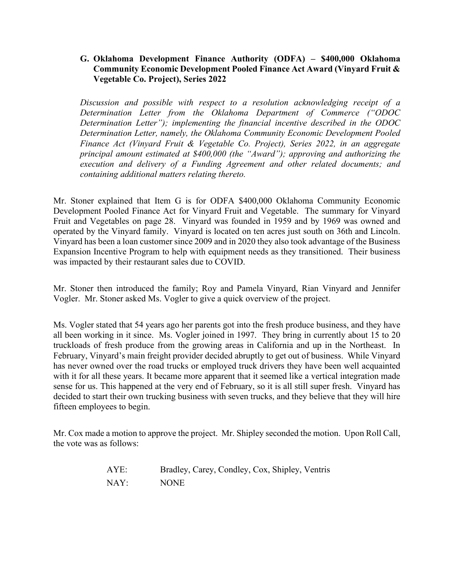#### **G. Oklahoma Development Finance Authority (ODFA) – \$400,000 Oklahoma Community Economic Development Pooled Finance Act Award (Vinyard Fruit & Vegetable Co. Project), Series 2022**

*Discussion and possible with respect to a resolution acknowledging receipt of a Determination Letter from the Oklahoma Department of Commerce ("ODOC Determination Letter"); implementing the financial incentive described in the ODOC Determination Letter, namely, the Oklahoma Community Economic Development Pooled Finance Act (Vinyard Fruit & Vegetable Co. Project), Series 2022, in an aggregate principal amount estimated at \$400,000 (the "Award"); approving and authorizing the execution and delivery of a Funding Agreement and other related documents; and containing additional matters relating thereto.*

Mr. Stoner explained that Item G is for ODFA \$400,000 Oklahoma Community Economic Development Pooled Finance Act for Vinyard Fruit and Vegetable. The summary for Vinyard Fruit and Vegetables on page 28. Vinyard was founded in 1959 and by 1969 was owned and operated by the Vinyard family. Vinyard is located on ten acres just south on 36th and Lincoln. Vinyard has been a loan customer since 2009 and in 2020 they also took advantage of the Business Expansion Incentive Program to help with equipment needs as they transitioned. Their business was impacted by their restaurant sales due to COVID.

Mr. Stoner then introduced the family; Roy and Pamela Vinyard, Rian Vinyard and Jennifer Vogler. Mr. Stoner asked Ms. Vogler to give a quick overview of the project.

Ms. Vogler stated that 54 years ago her parents got into the fresh produce business, and they have all been working in it since. Ms. Vogler joined in 1997. They bring in currently about 15 to 20 truckloads of fresh produce from the growing areas in California and up in the Northeast. In February, Vinyard's main freight provider decided abruptly to get out of business. While Vinyard has never owned over the road trucks or employed truck drivers they have been well acquainted with it for all these years. It became more apparent that it seemed like a vertical integration made sense for us. This happened at the very end of February, so it is all still super fresh. Vinyard has decided to start their own trucking business with seven trucks, and they believe that they will hire fifteen employees to begin.

Mr. Cox made a motion to approve the project. Mr. Shipley seconded the motion. Upon Roll Call, the vote was as follows:

| AYE: | Bradley, Carey, Condley, Cox, Shipley, Ventris |
|------|------------------------------------------------|
| NAY: | <b>NONE</b>                                    |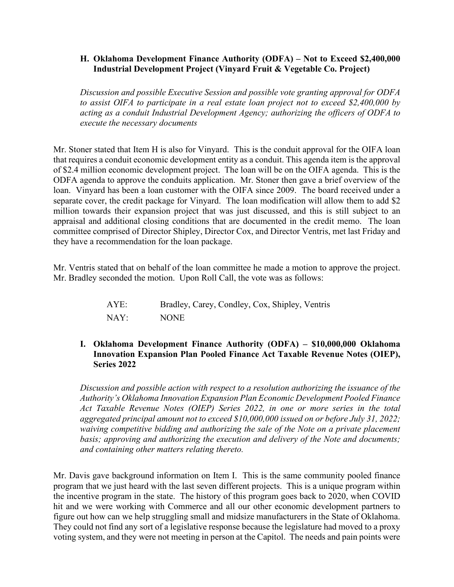#### **H. Oklahoma Development Finance Authority (ODFA) – Not to Exceed \$2,400,000 Industrial Development Project (Vinyard Fruit & Vegetable Co. Project)**

*Discussion and possible Executive Session and possible vote granting approval for ODFA to assist OIFA to participate in a real estate loan project not to exceed \$2,400,000 by acting as a conduit Industrial Development Agency; authorizing the officers of ODFA to execute the necessary documents*

Mr. Stoner stated that Item H is also for Vinyard. This is the conduit approval for the OIFA loan that requires a conduit economic development entity as a conduit. This agenda item is the approval of \$2.4 million economic development project. The loan will be on the OIFA agenda. This is the ODFA agenda to approve the conduits application. Mr. Stoner then gave a brief overview of the loan. Vinyard has been a loan customer with the OIFA since 2009. The board received under a separate cover, the credit package for Vinyard. The loan modification will allow them to add \$2 million towards their expansion project that was just discussed, and this is still subject to an appraisal and additional closing conditions that are documented in the credit memo. The loan committee comprised of Director Shipley, Director Cox, and Director Ventris, met last Friday and they have a recommendation for the loan package.

Mr. Ventris stated that on behalf of the loan committee he made a motion to approve the project. Mr. Bradley seconded the motion. Upon Roll Call, the vote was as follows:

| AYE:                      | Bradley, Carey, Condley, Cox, Shipley, Ventris |
|---------------------------|------------------------------------------------|
| $\overline{\text{NAY}}$ : | <b>NONE</b>                                    |

# **I. Oklahoma Development Finance Authority (ODFA) – \$10,000,000 Oklahoma Innovation Expansion Plan Pooled Finance Act Taxable Revenue Notes (OIEP), Series 2022**

*Discussion and possible action with respect to a resolution authorizing the issuance of the Authority's Oklahoma Innovation Expansion Plan Economic Development Pooled Finance Act Taxable Revenue Notes (OIEP) Series 2022, in one or more series in the total aggregated principal amount not to exceed \$10,000,000 issued on or before July 31, 2022; waiving competitive bidding and authorizing the sale of the Note on a private placement basis; approving and authorizing the execution and delivery of the Note and documents; and containing other matters relating thereto.*

Mr. Davis gave background information on Item I. This is the same community pooled finance program that we just heard with the last seven different projects. This is a unique program within the incentive program in the state. The history of this program goes back to 2020, when COVID hit and we were working with Commerce and all our other economic development partners to figure out how can we help struggling small and midsize manufacturers in the State of Oklahoma. They could not find any sort of a legislative response because the legislature had moved to a proxy voting system, and they were not meeting in person at the Capitol. The needs and pain points were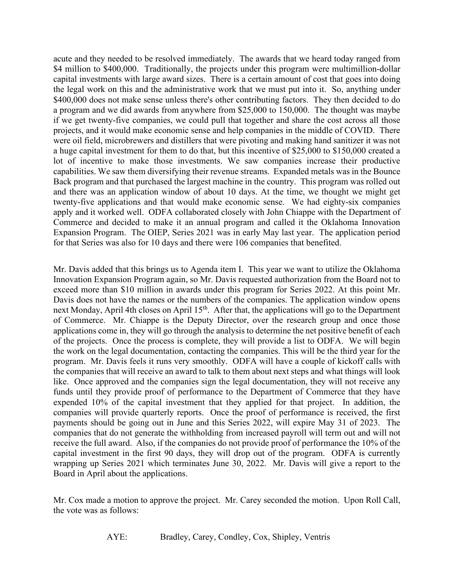acute and they needed to be resolved immediately. The awards that we heard today ranged from \$4 million to \$400,000. Traditionally, the projects under this program were multimillion-dollar capital investments with large award sizes. There is a certain amount of cost that goes into doing the legal work on this and the administrative work that we must put into it. So, anything under \$400,000 does not make sense unless there's other contributing factors. They then decided to do a program and we did awards from anywhere from \$25,000 to 150,000. The thought was maybe if we get twenty-five companies, we could pull that together and share the cost across all those projects, and it would make economic sense and help companies in the middle of COVID. There were oil field, microbrewers and distillers that were pivoting and making hand sanitizer it was not a huge capital investment for them to do that, but this incentive of \$25,000 to \$150,000 created a lot of incentive to make those investments. We saw companies increase their productive capabilities. We saw them diversifying their revenue streams. Expanded metals was in the Bounce Back program and that purchased the largest machine in the country. This program was rolled out and there was an application window of about 10 days. At the time, we thought we might get twenty-five applications and that would make economic sense. We had eighty-six companies apply and it worked well. ODFA collaborated closely with John Chiappe with the Department of Commerce and decided to make it an annual program and called it the Oklahoma Innovation Expansion Program. The OIEP, Series 2021 was in early May last year. The application period for that Series was also for 10 days and there were 106 companies that benefited.

Mr. Davis added that this brings us to Agenda item I. This year we want to utilize the Oklahoma Innovation Expansion Program again, so Mr. Davis requested authorization from the Board not to exceed more than \$10 million in awards under this program for Series 2022. At this point Mr. Davis does not have the names or the numbers of the companies. The application window opens next Monday, April 4th closes on April 15<sup>th</sup>. After that, the applications will go to the Department of Commerce. Mr. Chiappe is the Deputy Director, over the research group and once those applications come in, they will go through the analysis to determine the net positive benefit of each of the projects. Once the process is complete, they will provide a list to ODFA. We will begin the work on the legal documentation, contacting the companies. This will be the third year for the program. Mr. Davis feels it runs very smoothly. ODFA will have a couple of kickoff calls with the companies that will receive an award to talk to them about next steps and what things will look like. Once approved and the companies sign the legal documentation, they will not receive any funds until they provide proof of performance to the Department of Commerce that they have expended 10% of the capital investment that they applied for that project. In addition, the companies will provide quarterly reports. Once the proof of performance is received, the first payments should be going out in June and this Series 2022, will expire May 31 of 2023. The companies that do not generate the withholding from increased payroll will term out and will not receive the full award. Also, if the companies do not provide proof of performance the 10% of the capital investment in the first 90 days, they will drop out of the program. ODFA is currently wrapping up Series 2021 which terminates June 30, 2022. Mr. Davis will give a report to the Board in April about the applications.

Mr. Cox made a motion to approve the project. Mr. Carey seconded the motion. Upon Roll Call, the vote was as follows:

AYE: Bradley, Carey, Condley, Cox, Shipley, Ventris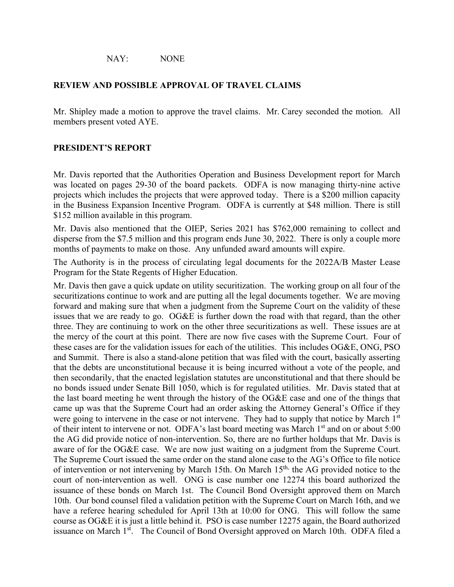NAY: NONE

#### **REVIEW AND POSSIBLE APPROVAL OF TRAVEL CLAIMS**

Mr. Shipley made a motion to approve the travel claims. Mr. Carey seconded the motion. All members present voted AYE.

#### **PRESIDENT'S REPORT**

Mr. Davis reported that the Authorities Operation and Business Development report for March was located on pages 29-30 of the board packets. ODFA is now managing thirty-nine active projects which includes the projects that were approved today. There is a \$200 million capacity in the Business Expansion Incentive Program. ODFA is currently at \$48 million. There is still \$152 million available in this program.

Mr. Davis also mentioned that the OIEP, Series 2021 has \$762,000 remaining to collect and disperse from the \$7.5 million and this program ends June 30, 2022. There is only a couple more months of payments to make on those. Any unfunded award amounts will expire.

The Authority is in the process of circulating legal documents for the 2022A/B Master Lease Program for the State Regents of Higher Education.

Mr. Davis then gave a quick update on utility securitization. The working group on all four of the securitizations continue to work and are putting all the legal documents together. We are moving forward and making sure that when a judgment from the Supreme Court on the validity of these issues that we are ready to go. OG&E is further down the road with that regard, than the other three. They are continuing to work on the other three securitizations as well. These issues are at the mercy of the court at this point. There are now five cases with the Supreme Court. Four of these cases are for the validation issues for each of the utilities. This includes OG&E, ONG, PSO and Summit. There is also a stand-alone petition that was filed with the court, basically asserting that the debts are unconstitutional because it is being incurred without a vote of the people, and then secondarily, that the enacted legislation statutes are unconstitutional and that there should be no bonds issued under Senate Bill 1050, which is for regulated utilities. Mr. Davis stated that at the last board meeting he went through the history of the OG&E case and one of the things that came up was that the Supreme Court had an order asking the Attorney General's Office if they were going to intervene in the case or not intervene. They had to supply that notice by March 1st of their intent to intervene or not. ODFA's last board meeting was March 1<sup>st</sup> and on or about 5:00 the AG did provide notice of non-intervention. So, there are no further holdups that Mr. Davis is aware of for the OG&E case. We are now just waiting on a judgment from the Supreme Court. The Supreme Court issued the same order on the stand alone case to the AG's Office to file notice of intervention or not intervening by March 15th. On March 15<sup>th,</sup> the AG provided notice to the court of non-intervention as well. ONG is case number one 12274 this board authorized the issuance of these bonds on March 1st. The Council Bond Oversight approved them on March 10th. Our bond counsel filed a validation petition with the Supreme Court on March 16th, and we have a referee hearing scheduled for April 13th at 10:00 for ONG. This will follow the same course as OG&E it is just a little behind it. PSO is case number 12275 again, the Board authorized issuance on March 1<sup>st</sup>. The Council of Bond Oversight approved on March 10th. ODFA filed a